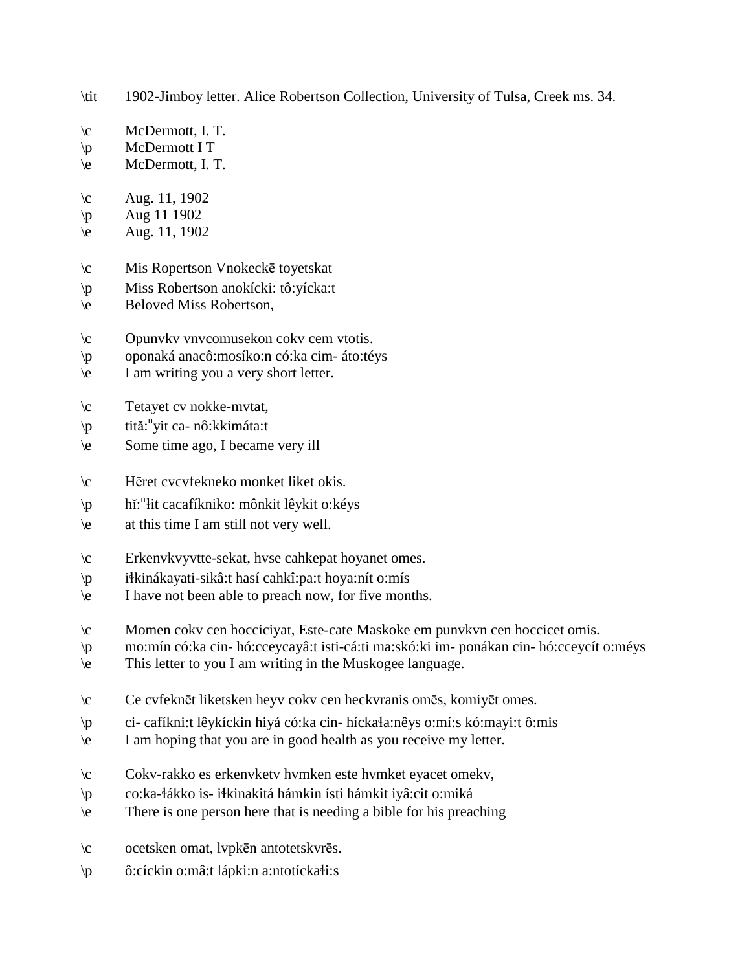\tit 1902-Jimboy letter. Alice Robertson Collection, University of Tulsa, Creek ms. 34.

- \c McDermott, I. T.
- \p McDermott I T
- \e McDermott, I. T.
- $\c$  Aug. 11, 1902
- $\pi$  Aug 11 1902
- $\text{Aug. } 11, 1902$
- \c Mis Ropertson Vnokeckē toyetskat
- \p Miss Robertson anokícki: tô:yícka:t
- \e Beloved Miss Robertson,
- \c Opunvkv vnvcomusekon cokv cem vtotis.
- \p oponaká anacô:mosíko:n có:ka cim- áto:téys
- \e I am writing you a very short letter.
- \c Tetayet cv nokke-mvtat,
- \p tită: n yit ca- nô:kkimáta:t
- \e Some time ago, I became very ill
- \c Hēret cvcvfekneko monket liket okis.
- \p hĭ:<sup>n</sup>łit cacafíkniko: mônkit lêykit o:kéys
- \e at this time I am still not very well.
- \c Erkenvkvyvtte-sekat, hvse cahkepat hoyanet omes.
- \p i!kinákayati-sikâ:t hasí cahkî:pa:t hoya:nít o:mís
- \e I have not been able to preach now, for five months.
- \c Momen cokv cen hocciciyat, Este-cate Maskoke em punvkvn cen hoccicet omis.
- \p mo:mín có:ka cin- hó:cceycayâ:t isti-cá:ti ma:skó:ki im- ponákan cin- hó:cceycít o:méys
- \e This letter to you I am writing in the Muskogee language.
- \c Ce cvfeknēt liketsken heyv cokv cen heckvranis omēs, komiyēt omes.
- \p ci- cafíkni:t lêykíckin hiyá có:ka cin- híckała:nêys o:mí:s kó:mayi:t ô:mis
- \e I am hoping that you are in good health as you receive my letter.
- \c Cokv-rakko es erkenvketv hvmken este hvmket eyacet omekv,
- \p co:ka-!ákko is- i!kinakitá hámkin ísti hámkit iyâ:cit o:miká
- \e There is one person here that is needing a bible for his preaching
- \c ocetsken omat, lvpkēn antotetskvrēs.
- $\mathbf{p}$  ô:cíckin o:mâ:t lápki:n a:ntotícka $\mathbf{h}$ :s